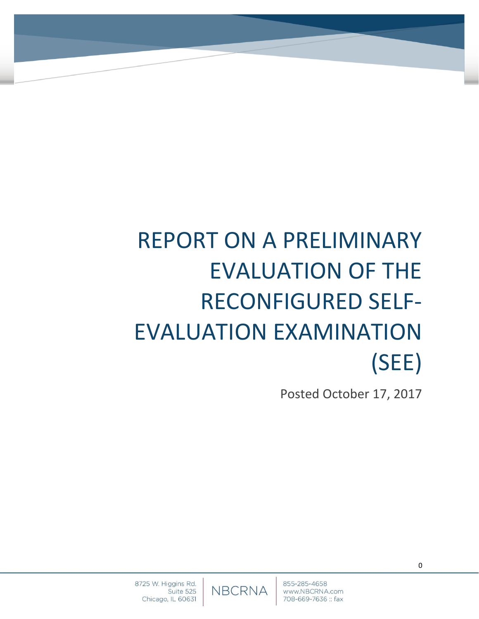# REPORT ON A PRELIMINARY EVALUATION OF THE RECONFIGURED SELF-EVALUATION EXAMINATION (SEE)

Posted October 17, 2017

**NBCRNA**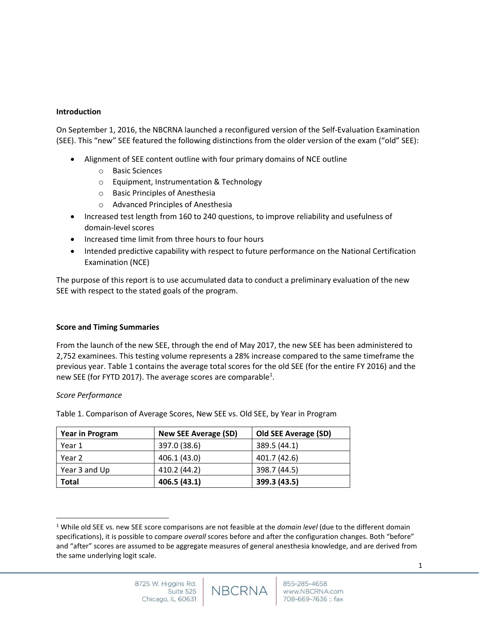## **Introduction**

On September 1, 2016, the NBCRNA launched a reconfigured version of the Self-Evaluation Examination (SEE). This "new" SEE featured the following distinctions from the older version of the exam ("old" SEE):

- Alignment of SEE content outline with four primary domains of NCE outline
	- o Basic Sciences
	- o Equipment, Instrumentation & Technology
	- o Basic Principles of Anesthesia
	- o Advanced Principles of Anesthesia
- Increased test length from 160 to 240 questions, to improve reliability and usefulness of domain-level scores
- Increased time limit from three hours to four hours
- Intended predictive capability with respect to future performance on the National Certification Examination (NCE)

The purpose of this report is to use accumulated data to conduct a preliminary evaluation of the new SEE with respect to the stated goals of the program.

## **Score and Timing Summaries**

From the launch of the new SEE, through the end of May 2017, the new SEE has been administered to 2,752 examinees. This testing volume represents a 28% increase compared to the same timeframe the previous year. Table 1 contains the average total scores for the old SEE (for the entire FY 2016) and the new SEE (for FYTD 2017). The average scores are comparable<sup>1</sup>.

## *Score Performance*

l

Table 1. Comparison of Average Scores, New SEE vs. Old SEE, by Year in Program

| <b>Year in Program</b> | <b>New SEE Average (SD)</b> | <b>Old SEE Average (SD)</b> |
|------------------------|-----------------------------|-----------------------------|
| Year 1                 | 397.0 (38.6)                | 389.5 (44.1)                |
| Year 2                 | 406.1 (43.0)                | 401.7 (42.6)                |
| Year 3 and Up          | 410.2 (44.2)                | 398.7 (44.5)                |
| <b>Total</b>           | 406.5 (43.1)                | 399.3 (43.5)                |

1

<sup>1</sup> While old SEE vs. new SEE score comparisons are not feasible at the *domain level* (due to the different domain specifications), it is possible to compare *overall* scores before and after the configuration changes. Both "before" and "after" scores are assumed to be aggregate measures of general anesthesia knowledge, and are derived from the same underlying logit scale.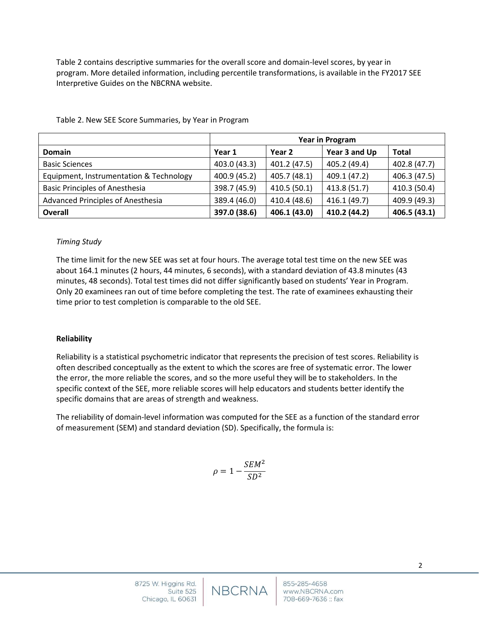Table 2 contains descriptive summaries for the overall score and domain-level scores, by year in program. More detailed information, including percentile transformations, is available in the FY2017 SEE Interpretive Guides on the NBCRNA website.

|                                         | Year in Program |              |               |              |
|-----------------------------------------|-----------------|--------------|---------------|--------------|
| <b>Domain</b>                           | Year 1          | Year 2       | Year 3 and Up | <b>Total</b> |
| <b>Basic Sciences</b>                   | 403.0 (43.3)    | 401.2 (47.5) | 405.2 (49.4)  | 402.8 (47.7) |
| Equipment, Instrumentation & Technology | 400.9 (45.2)    | 405.7 (48.1) | 409.1 (47.2)  | 406.3 (47.5) |
| <b>Basic Principles of Anesthesia</b>   | 398.7 (45.9)    | 410.5 (50.1) | 413.8 (51.7)  | 410.3 (50.4) |
| Advanced Principles of Anesthesia       | 389.4 (46.0)    | 410.4 (48.6) | 416.1 (49.7)  | 409.9 (49.3) |
| <b>Overall</b>                          | 397.0 (38.6)    | 406.1 (43.0) | 410.2 (44.2)  | 406.5 (43.1) |

Table 2. New SEE Score Summaries, by Year in Program

#### *Timing Study*

The time limit for the new SEE was set at four hours. The average total test time on the new SEE was about 164.1 minutes (2 hours, 44 minutes, 6 seconds), with a standard deviation of 43.8 minutes (43 minutes, 48 seconds). Total test times did not differ significantly based on students' Year in Program. Only 20 examinees ran out of time before completing the test. The rate of examinees exhausting their time prior to test completion is comparable to the old SEE.

#### **Reliability**

Reliability is a statistical psychometric indicator that represents the precision of test scores. Reliability is often described conceptually as the extent to which the scores are free of systematic error. The lower the error, the more reliable the scores, and so the more useful they will be to stakeholders. In the specific context of the SEE, more reliable scores will help educators and students better identify the specific domains that are areas of strength and weakness.

The reliability of domain-level information was computed for the SEE as a function of the standard error of measurement (SEM) and standard deviation (SD). Specifically, the formula is:

$$
\rho = 1 - \frac{SEM^2}{SD^2}
$$

**NBCRNA**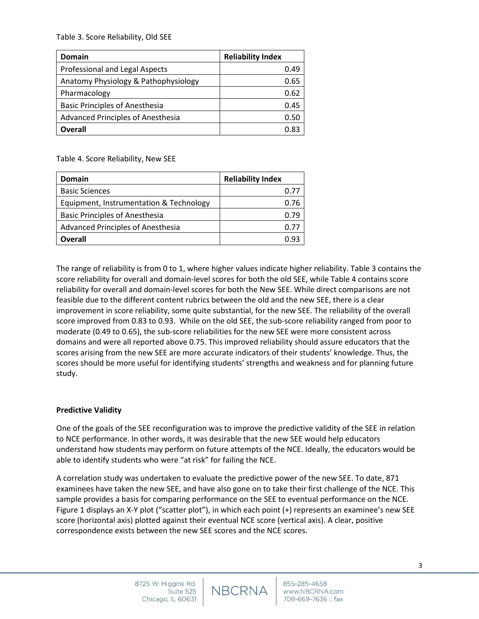Table 3. Score Reliability, Old SEE

| <b>Domain</b>                            | <b>Reliability Index</b> |
|------------------------------------------|--------------------------|
| Professional and Legal Aspects           | 0.49                     |
| Anatomy Physiology & Pathophysiology     | 0.65                     |
| Pharmacology                             | 0.62                     |
| <b>Basic Principles of Anesthesia</b>    | 0.45                     |
| <b>Advanced Principles of Anesthesia</b> | 0.50                     |
| <b>Overall</b>                           | 0.83                     |

Table 4. Score Reliability, New SEE

| <b>Domain</b>                            | <b>Reliability Index</b> |
|------------------------------------------|--------------------------|
| <b>Basic Sciences</b>                    | 0.77                     |
| Equipment, Instrumentation & Technology  | 0.76                     |
| <b>Basic Principles of Anesthesia</b>    | በ 79                     |
| <b>Advanced Principles of Anesthesia</b> | 0.77                     |
| Overall                                  |                          |

The range of reliability is from 0 to 1, where higher values indicate higher reliability. Table 3 contains the score reliability for overall and domain-level scores for both the old SEE, while Table 4 contains score reliability for overall and domain-level scores for both the New SEE. While direct comparisons are not feasible due to the different content rubrics between the old and the new SEE, there is a clear improvement in score reliability, some quite substantial, for the new SEE. The reliability of the overall score improved from 0.83 to 0.93. While on the old SEE, the sub-score reliability ranged from poor to moderate (0.49 to 0.65), the sub-score reliabilities for the new SEE were more consistent across domains and were all reported above 0.75. This improved reliability should assure educators that the scores arising from the new SEE are more accurate indicators of their students' knowledge. Thus, the scores should be more useful for identifying students' strengths and weakness and for planning future study.

## **Predictive Validity**

One of the goals of the SEE reconfiguration was to improve the predictive validity of the SEE in relation to NCE performance. In other words, it was desirable that the new SEE would help educators understand how students may perform on future attempts of the NCE. Ideally, the educators would be able to identify students who were "at risk" for failing the NCE.

A correlation study was undertaken to evaluate the predictive power of the new SEE. To date, 871 examinees have taken the new SEE, and have also gone on to take their first challenge of the NCE. This sample provides a basis for comparing performance on the SEE to eventual performance on the NCE. Figure 1 displays an X-Y plot ("scatter plot"), in which each point (+) represents an examinee's new SEE score (horizontal axis) plotted against their eventual NCE score (vertical axis). A clear, positive correspondence exists between the new SEE scores and the NCE scores.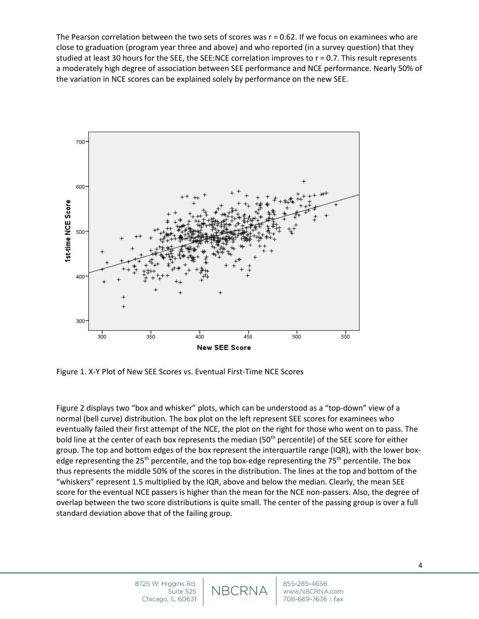The Pearson correlation between the two sets of scores was r = 0.62. If we focus on examinees who are close to graduation (program year three and above) and who reported (in a survey question) that they studied at least 30 hours for the SEE, the SEE:NCE correlation improves to r = 0.7. This result represents a moderately high degree of association between SEE performance and NCE performance. Nearly 50% of the variation in NCE scores can be explained solely by performance on the new SEE.



Figure 1. X-Y Plot of New SEE Scores vs. Eventual First-Time NCE Scores

Figure 2 displays two "box and whisker" plots, which can be understood as a "top-down" view of a normal (bell curve) distribution. The box plot on the left represent SEE scores for examinees who eventually failed their first attempt of the NCE, the plot on the right for those who went on to pass. The bold line at the center of each box represents the median (50<sup>th</sup> percentile) of the SEE score for either group. The top and bottom edges of the box represent the interquartile range (IQR), with the lower boxedge representing the 25<sup>th</sup> percentile, and the top box-edge representing the 75<sup>th</sup> percentile. The box thus represents the middle 50% of the scores in the distribution. The lines at the top and bottom of the "whiskers" represent 1.5 multiplied by the IQR, above and below the median. Clearly, the mean SEE score for the eventual NCE passers is higher than the mean for the NCE non-passers. Also, the degree of overlap between the two score distributions is quite small. The center of the passing group is over a full standard deviation above that of the failing group.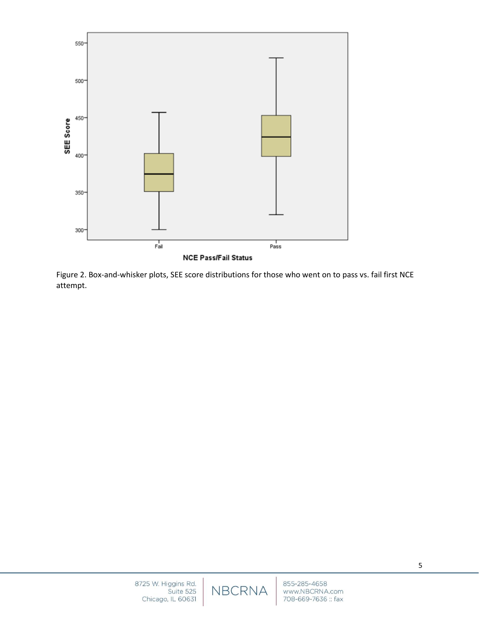

Figure 2. Box-and-whisker plots, SEE score distributions for those who went on to pass vs. fail first NCE attempt.

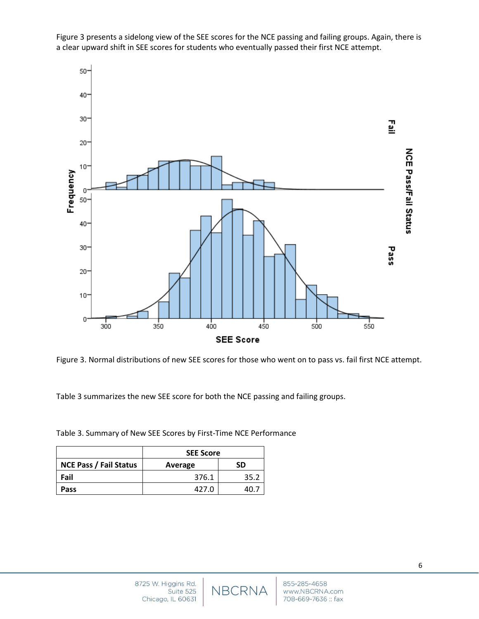

Figure 3 presents a sidelong view of the SEE scores for the NCE passing and failing groups. Again, there is a clear upward shift in SEE scores for students who eventually passed their first NCE attempt.

Figure 3. Normal distributions of new SEE scores for those who went on to pass vs. fail first NCE attempt.

Table 3 summarizes the new SEE score for both the NCE passing and failing groups.

Table 3. Summary of New SEE Scores by First-Time NCE Performance

|                               | <b>SEE Score</b> |      |
|-------------------------------|------------------|------|
| <b>NCE Pass / Fail Status</b> | Average          | SD   |
| Fail                          | 376.1            | 35.2 |
| Pass                          | 427.0            | 40.7 |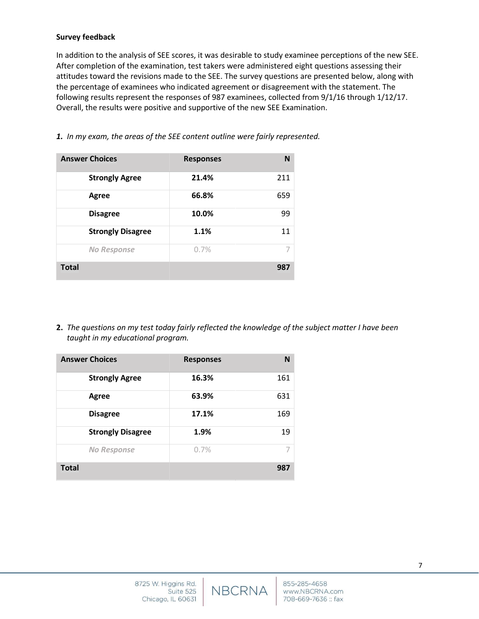### **Survey feedback**

In addition to the analysis of SEE scores, it was desirable to study examinee perceptions of the new SEE. After completion of the examination, test takers were administered eight questions assessing their attitudes toward the revisions made to the SEE. The survey questions are presented below, along with the percentage of examinees who indicated agreement or disagreement with the statement. The following results represent the responses of 987 examinees, collected from 9/1/16 through 1/12/17. Overall, the results were positive and supportive of the new SEE Examination.

| <b>Answer Choices</b>    | <b>Responses</b> | N   |
|--------------------------|------------------|-----|
| <b>Strongly Agree</b>    | 21.4%            | 211 |
| Agree                    | 66.8%            | 659 |
| <b>Disagree</b>          | 10.0%            | 99  |
| <b>Strongly Disagree</b> | 1.1%             | 11  |
| <b>No Response</b>       | 0.7%             | 7   |
| <b>Total</b>             |                  | 987 |

*1. In my exam, the areas of the SEE content outline were fairly represented.*

**2.** *The questions on my test today fairly reflected the knowledge of the subject matter I have been taught in my educational program.* 

| <b>Answer Choices</b>    | <b>Responses</b> | N   |
|--------------------------|------------------|-----|
| <b>Strongly Agree</b>    | 16.3%            | 161 |
| Agree                    | 63.9%            | 631 |
| <b>Disagree</b>          | 17.1%            | 169 |
| <b>Strongly Disagree</b> | 1.9%             | 19  |
| <b>No Response</b>       | 0.7%             |     |
| <b>Total</b>             |                  | 987 |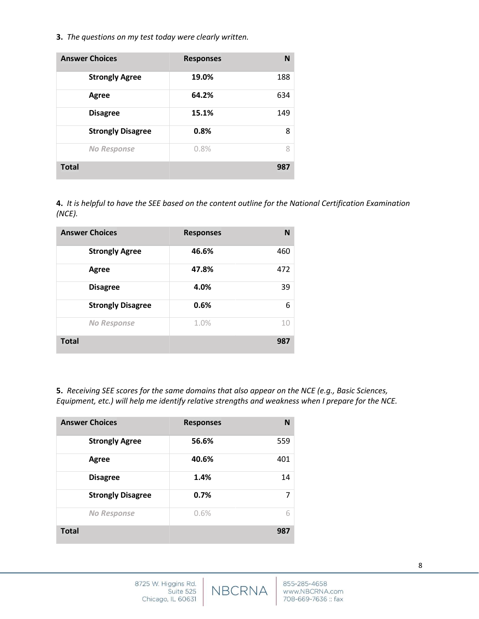**3.** *The questions on my test today were clearly written.* 

| <b>Answer Choices</b>    | <b>Responses</b> | N   |
|--------------------------|------------------|-----|
| <b>Strongly Agree</b>    | 19.0%            | 188 |
| Agree                    | 64.2%            | 634 |
| <b>Disagree</b>          | 15.1%            | 149 |
| <b>Strongly Disagree</b> | 0.8%             | 8   |
| <b>No Response</b>       | 0.8%             | 8   |
| <b>Total</b>             |                  | 987 |

**4.** *It is helpful to have the SEE based on the content outline for the National Certification Examination (NCE).*

| <b>Answer Choices</b>    | <b>Responses</b> | N   |
|--------------------------|------------------|-----|
| <b>Strongly Agree</b>    | 46.6%            | 460 |
| Agree                    | 47.8%            | 472 |
| <b>Disagree</b>          | 4.0%             | 39  |
| <b>Strongly Disagree</b> | 0.6%             | 6   |
| <b>No Response</b>       | 1.0%             | 10  |
| <b>Total</b>             |                  | 987 |

**5.** *Receiving SEE scores for the same domains that also appear on the NCE (e.g., Basic Sciences, Equipment, etc.) will help me identify relative strengths and weakness when I prepare for the NCE.*

NBCRNA

| <b>Answer Choices</b>    | <b>Responses</b> | N   |
|--------------------------|------------------|-----|
| <b>Strongly Agree</b>    | 56.6%            | 559 |
| <b>Agree</b>             | 40.6%            | 401 |
| <b>Disagree</b>          | 1.4%             | 14  |
| <b>Strongly Disagree</b> | 0.7%             |     |
| <b>No Response</b>       | 0.6%             | 6   |
| <b>Total</b>             |                  | 987 |

8725 W. Higgins Rd.

Chicago, IL 60631

Suite 525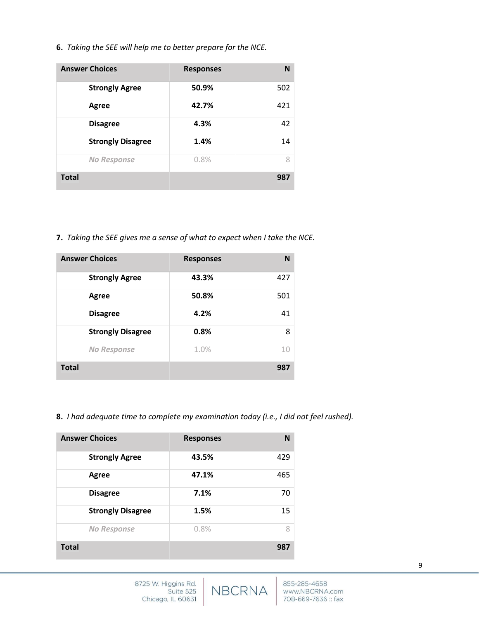**6.** *Taking the SEE will help me to better prepare for the NCE.*

| <b>Answer Choices</b>    | <b>Responses</b> | N   |
|--------------------------|------------------|-----|
| <b>Strongly Agree</b>    | 50.9%            | 502 |
| Agree                    | 42.7%            | 421 |
| <b>Disagree</b>          | 4.3%             | 42  |
| <b>Strongly Disagree</b> | 1.4%             | 14  |
| <b>No Response</b>       | 0.8%             | 8   |
| <b>Total</b>             |                  | 987 |

**7.** *Taking the SEE gives me a sense of what to expect when I take the NCE.*

| <b>Answer Choices</b>    | <b>Responses</b> | N   |
|--------------------------|------------------|-----|
| <b>Strongly Agree</b>    | 43.3%            | 427 |
| Agree                    | 50.8%            | 501 |
| <b>Disagree</b>          | 4.2%             | 41  |
| <b>Strongly Disagree</b> | 0.8%             | 8   |
| <b>No Response</b>       | 1.0%             | 10  |
| <b>Total</b>             |                  | 987 |

**8.** *I had adequate time to complete my examination today (i.e., I did not feel rushed).*

| <b>Answer Choices</b>    | <b>Responses</b> | N   |
|--------------------------|------------------|-----|
| <b>Strongly Agree</b>    | 43.5%            | 429 |
| Agree                    | 47.1%            | 465 |
| <b>Disagree</b>          | 7.1%             | 70  |
| <b>Strongly Disagree</b> | 1.5%             | 15  |
| <b>No Response</b>       | 0.8%             | 8   |
| <b>Total</b>             |                  | 987 |

NBCRNA